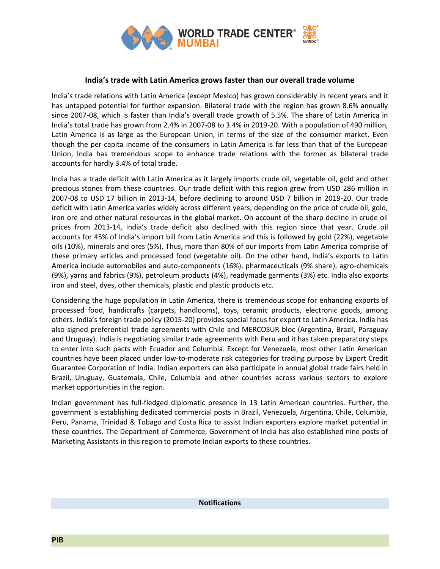

## **India's trade with Latin America grows faster than our overall trade volume**

India's trade relations with Latin America (except Mexico) has grown considerably in recent years and it has untapped potential for further expansion. Bilateral trade with the region has grown 8.6% annually since 2007-08, which is faster than India's overall trade growth of 5.5%. The share of Latin America in India's total trade has grown from 2.4% in 2007-08 to 3.4% in 2019-20. With a population of 490 million, Latin America is as large as the European Union, in terms of the size of the consumer market. Even though the per capita income of the consumers in Latin America is far less than that of the European Union, India has tremendous scope to enhance trade relations with the former as bilateral trade accounts for hardly 3.4% of total trade.

India has a trade deficit with Latin America as it largely imports crude oil, vegetable oil, gold and other precious stones from these countries. Our trade deficit with this region grew from USD 286 million in 2007-08 to USD 17 billion in 2013-14, before declining to around USD 7 billion in 2019-20. Our trade deficit with Latin America varies widely across different years, depending on the price of crude oil, gold, iron ore and other natural resources in the global market. On account of the sharp decline in crude oil prices from 2013-14, India's trade deficit also declined with this region since that year. Crude oil accounts for 45% of India's import bill from Latin America and this is followed by gold (22%), vegetable oils (10%), minerals and ores (5%). Thus, more than 80% of our imports from Latin America comprise of these primary articles and processed food (vegetable oil). On the other hand, India's exports to Latin America include automobiles and auto-components (16%), pharmaceuticals (9% share), agro-chemicals (9%), yarns and fabrics (9%), petroleum products (4%), readymade garments (3%) etc. India also exports iron and steel, dyes, other chemicals, plastic and plastic products etc.

Considering the huge population in Latin America, there is tremendous scope for enhancing exports of processed food, handicrafts (carpets, handlooms), toys, ceramic products, electronic goods, among others. India's foreign trade policy (2015-20) provides special focus for export to Latin America. India has also signed preferential trade agreements with Chile and MERCOSUR bloc (Argentina, Brazil, Paraguay and Uruguay). India is negotiating similar trade agreements with Peru and it has taken preparatory steps to enter into such pacts with Ecuador and Columbia. Except for Venezuela, most other Latin American countries have been placed under low-to-moderate risk categories for trading purpose by Export Credit Guarantee Corporation of India. Indian exporters can also participate in annual global trade fairs held in Brazil, Uruguay, Guatemala, Chile, Columbia and other countries across various sectors to explore market opportunities in the region.

Indian government has full-fledged diplomatic presence in 13 Latin American countries. Further, the government is establishing dedicated commercial posts in Brazil, Venezuela, Argentina, Chile, Columbia, Peru, Panama, Trinidad & Tobago and Costa Rica to assist Indian exporters explore market potential in these countries. The Department of Commerce, Government of India has also established nine posts of Marketing Assistants in this region to promote Indian exports to these countries.